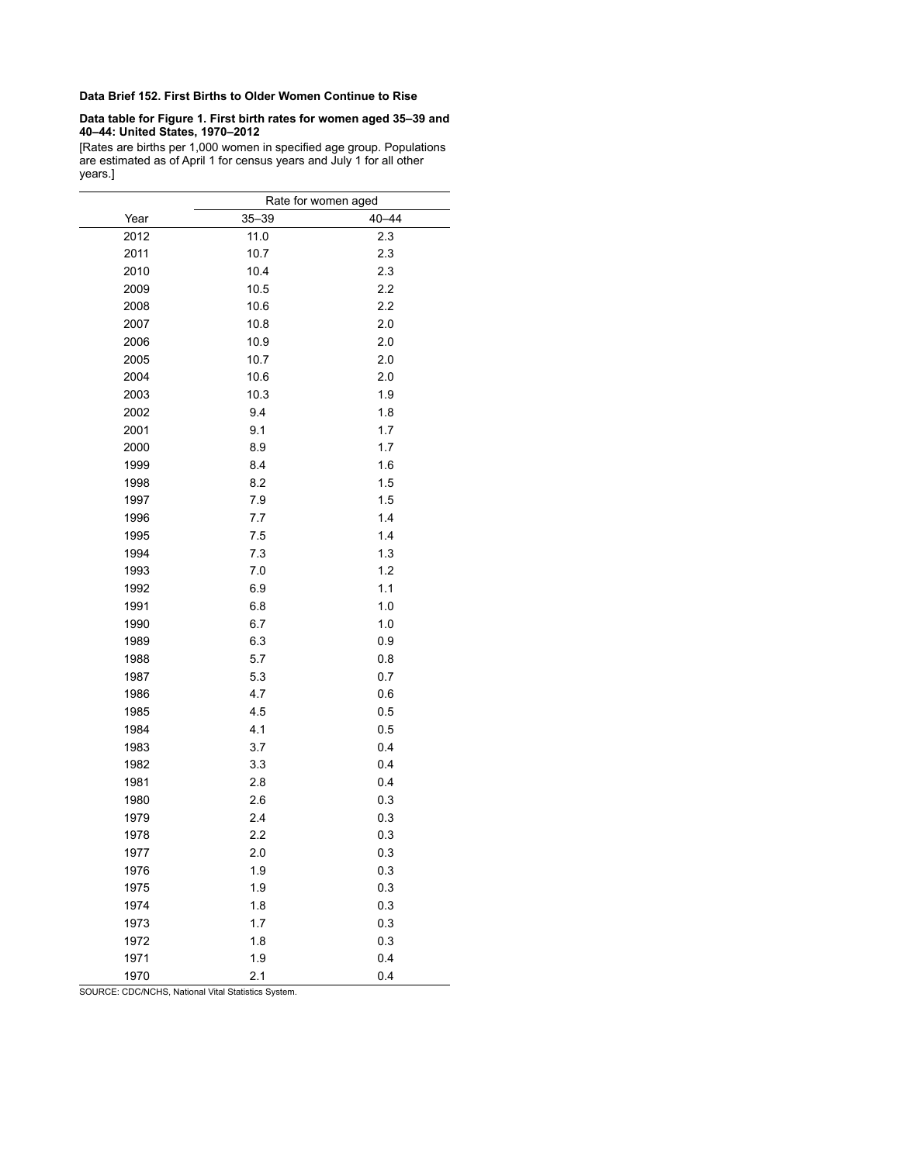## **Data Brief 152. First Births to Older Women Continue to Rise**

## **Data table for Figure 1. First birth rates for women aged 35–39 and 40–44: United States, 1970–2012**

[Rates are births per 1,000 women in specified age group. Populations are estimated as of April 1 for census years and July 1 for all other years.]

|      | Rate for women aged |           |  |  |  |
|------|---------------------|-----------|--|--|--|
| Year | $35 - 39$           | $40 - 44$ |  |  |  |
| 2012 | 11.0                | 2.3       |  |  |  |
| 2011 | 10.7                | 2.3       |  |  |  |
| 2010 | 10.4                | 2.3       |  |  |  |
| 2009 | 10.5                | 2.2       |  |  |  |
| 2008 | 10.6                | 2.2       |  |  |  |
| 2007 | 10.8                | 2.0       |  |  |  |
| 2006 | 10.9                | 2.0       |  |  |  |
| 2005 | 10.7                | 2.0       |  |  |  |
| 2004 | 10.6                | 2.0       |  |  |  |
| 2003 | 10.3                | 1.9       |  |  |  |
| 2002 | 9.4                 | 1.8       |  |  |  |
| 2001 | 9.1                 | 1.7       |  |  |  |
| 2000 | 8.9                 | 1.7       |  |  |  |
| 1999 | 8.4                 | 1.6       |  |  |  |
| 1998 | 8.2                 | 1.5       |  |  |  |
| 1997 | 7.9                 | 1.5       |  |  |  |
| 1996 | 7.7                 | 1.4       |  |  |  |
| 1995 | 7.5                 | 1.4       |  |  |  |
| 1994 | 7.3                 | 1.3       |  |  |  |
| 1993 | 7.0                 | 1.2       |  |  |  |
| 1992 | 6.9                 | 1.1       |  |  |  |
| 1991 | 6.8                 | 1.0       |  |  |  |
| 1990 | 6.7                 | 1.0       |  |  |  |
| 1989 | 6.3                 | 0.9       |  |  |  |
| 1988 | 5.7                 | 0.8       |  |  |  |
| 1987 | 5.3                 | 0.7       |  |  |  |
| 1986 | 4.7                 | 0.6       |  |  |  |
| 1985 | 4.5                 | 0.5       |  |  |  |
| 1984 | 4.1                 | 0.5       |  |  |  |
| 1983 | 3.7                 | 0.4       |  |  |  |
| 1982 | 3.3                 | 0.4       |  |  |  |
| 1981 | 2.8                 | 0.4       |  |  |  |
| 1980 | 2.6                 | 0.3       |  |  |  |
| 1979 | 2.4                 | 0.3       |  |  |  |
| 1978 | 2.2                 | 0.3       |  |  |  |
| 1977 | 2.0                 | 0.3       |  |  |  |
| 1976 | 1.9                 | 0.3       |  |  |  |
| 1975 | 1.9                 | 0.3       |  |  |  |
| 1974 | 1.8                 | 0.3       |  |  |  |
| 1973 | 1.7                 | 0.3       |  |  |  |
| 1972 | 1.8                 | 0.3       |  |  |  |
| 1971 | 1.9                 | 0.4       |  |  |  |
| 1970 | 2.1                 | 0.4       |  |  |  |

SOURCE: CDC/NCHS, National Vital Statistics System.